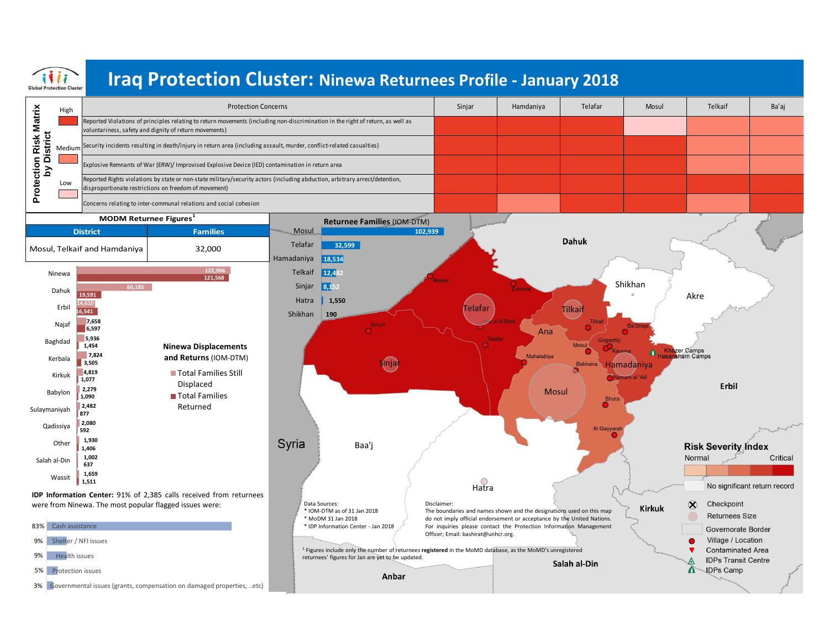